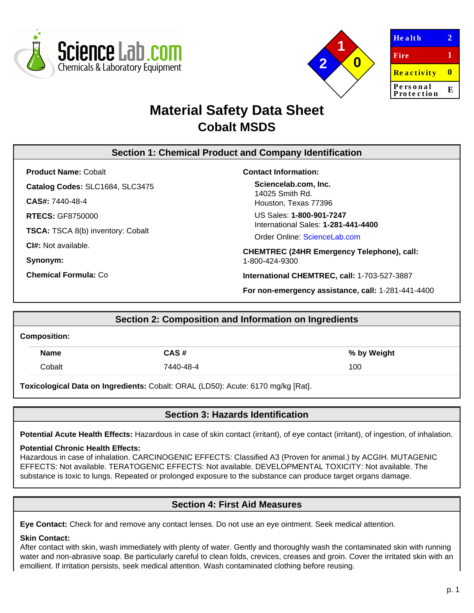



| <b>Health</b>          |   |
|------------------------|---|
| <b>Fire</b>            | 1 |
| <b>Reactivity</b>      |   |
| Personal<br>Protection | E |

# **Material Safety Data Sheet Cobalt MSDS**

# **Section 1: Chemical Product and Company Identification**

**Product Name:** Cobalt

**Catalog Codes:** SLC1684, SLC3475

**CAS#:** 7440-48-4

**RTECS:** GF8750000

**TSCA:** TSCA 8(b) inventory: Cobalt

**CI#:** Not available.

**Synonym:**

**Chemical Formula:** Co

## **Contact Information:**

**Sciencelab.com, Inc.** 14025 Smith Rd. Houston, Texas 77396

US Sales: **1-800-901-7247** International Sales: **1-281-441-4400**

Order Online: [ScienceLab.com](http://www.sciencelab.com/)

**CHEMTREC (24HR Emergency Telephone), call:** 1-800-424-9300

**International CHEMTREC, call:** 1-703-527-3887

**For non-emergency assistance, call:** 1-281-441-4400

# **Section 2: Composition and Information on Ingredients Composition: Name CAS # % by Weight** Cobalt 7440-48-4 100

**Toxicological Data on Ingredients:** Cobalt: ORAL (LD50): Acute: 6170 mg/kg [Rat].

# **Section 3: Hazards Identification**

**Potential Acute Health Effects:** Hazardous in case of skin contact (irritant), of eye contact (irritant), of ingestion, of inhalation.

## **Potential Chronic Health Effects:**

Hazardous in case of inhalation. CARCINOGENIC EFFECTS: Classified A3 (Proven for animal.) by ACGIH. MUTAGENIC EFFECTS: Not available. TERATOGENIC EFFECTS: Not available. DEVELOPMENTAL TOXICITY: Not available. The substance is toxic to lungs. Repeated or prolonged exposure to the substance can produce target organs damage.

# **Section 4: First Aid Measures**

**Eye Contact:** Check for and remove any contact lenses. Do not use an eye ointment. Seek medical attention.

## **Skin Contact:**

After contact with skin, wash immediately with plenty of water. Gently and thoroughly wash the contaminated skin with running water and non-abrasive soap. Be particularly careful to clean folds, crevices, creases and groin. Cover the irritated skin with an emollient. If irritation persists, seek medical attention. Wash contaminated clothing before reusing.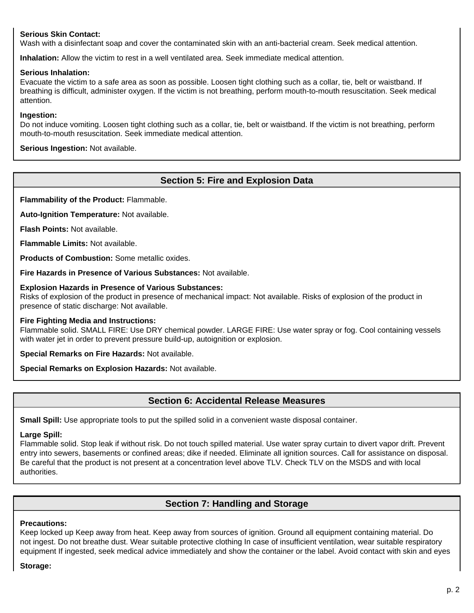## **Serious Skin Contact:**

Wash with a disinfectant soap and cover the contaminated skin with an anti-bacterial cream. Seek medical attention.

**Inhalation:** Allow the victim to rest in a well ventilated area. Seek immediate medical attention.

## **Serious Inhalation:**

Evacuate the victim to a safe area as soon as possible. Loosen tight clothing such as a collar, tie, belt or waistband. If breathing is difficult, administer oxygen. If the victim is not breathing, perform mouth-to-mouth resuscitation. Seek medical attention.

#### **Ingestion:**

Do not induce vomiting. Loosen tight clothing such as a collar, tie, belt or waistband. If the victim is not breathing, perform mouth-to-mouth resuscitation. Seek immediate medical attention.

**Serious Ingestion:** Not available.

## **Section 5: Fire and Explosion Data**

**Flammability of the Product:** Flammable.

**Auto-Ignition Temperature:** Not available.

**Flash Points:** Not available.

**Flammable Limits:** Not available.

**Products of Combustion:** Some metallic oxides.

**Fire Hazards in Presence of Various Substances:** Not available.

#### **Explosion Hazards in Presence of Various Substances:**

Risks of explosion of the product in presence of mechanical impact: Not available. Risks of explosion of the product in presence of static discharge: Not available.

#### **Fire Fighting Media and Instructions:**

Flammable solid. SMALL FIRE: Use DRY chemical powder. LARGE FIRE: Use water spray or fog. Cool containing vessels with water jet in order to prevent pressure build-up, autoignition or explosion.

**Special Remarks on Fire Hazards:** Not available.

**Special Remarks on Explosion Hazards:** Not available.

## **Section 6: Accidental Release Measures**

**Small Spill:** Use appropriate tools to put the spilled solid in a convenient waste disposal container.

#### **Large Spill:**

Flammable solid. Stop leak if without risk. Do not touch spilled material. Use water spray curtain to divert vapor drift. Prevent entry into sewers, basements or confined areas; dike if needed. Eliminate all ignition sources. Call for assistance on disposal. Be careful that the product is not present at a concentration level above TLV. Check TLV on the MSDS and with local authorities.

# **Section 7: Handling and Storage**

#### **Precautions:**

Keep locked up Keep away from heat. Keep away from sources of ignition. Ground all equipment containing material. Do not ingest. Do not breathe dust. Wear suitable protective clothing In case of insufficient ventilation, wear suitable respiratory equipment If ingested, seek medical advice immediately and show the container or the label. Avoid contact with skin and eyes

#### **Storage:**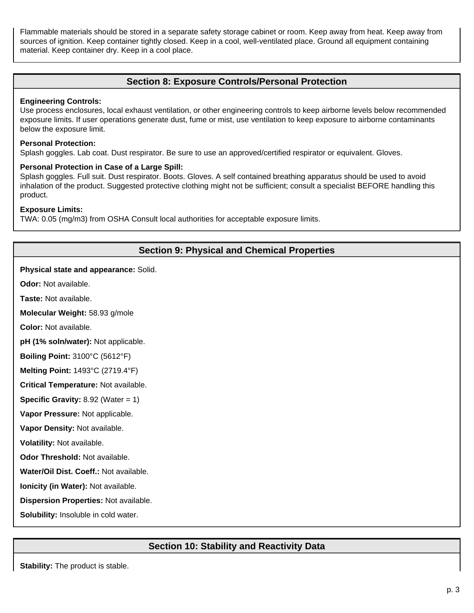Flammable materials should be stored in a separate safety storage cabinet or room. Keep away from heat. Keep away from sources of ignition. Keep container tightly closed. Keep in a cool, well-ventilated place. Ground all equipment containing material. Keep container dry. Keep in a cool place.

## **Section 8: Exposure Controls/Personal Protection**

#### **Engineering Controls:**

Use process enclosures, local exhaust ventilation, or other engineering controls to keep airborne levels below recommended exposure limits. If user operations generate dust, fume or mist, use ventilation to keep exposure to airborne contaminants below the exposure limit.

#### **Personal Protection:**

Splash goggles. Lab coat. Dust respirator. Be sure to use an approved/certified respirator or equivalent. Gloves.

#### **Personal Protection in Case of a Large Spill:**

Splash goggles. Full suit. Dust respirator. Boots. Gloves. A self contained breathing apparatus should be used to avoid inhalation of the product. Suggested protective clothing might not be sufficient; consult a specialist BEFORE handling this product.

#### **Exposure Limits:**

TWA: 0.05 (mg/m3) from OSHA Consult local authorities for acceptable exposure limits.

# **Section 9: Physical and Chemical Properties**

#### **Physical state and appearance:** Solid.

**Odor:** Not available.

**Taste:** Not available.

**Molecular Weight:** 58.93 g/mole

**Color:** Not available.

**pH (1% soln/water):** Not applicable.

**Boiling Point:** 3100°C (5612°F)

**Melting Point:** 1493°C (2719.4°F)

**Critical Temperature:** Not available.

**Specific Gravity:** 8.92 (Water = 1)

**Vapor Pressure:** Not applicable.

**Vapor Density:** Not available.

**Volatility:** Not available.

**Odor Threshold:** Not available.

**Water/Oil Dist. Coeff.:** Not available.

**Ionicity (in Water):** Not available.

**Dispersion Properties:** Not available.

**Solubility:** Insoluble in cold water.

# **Section 10: Stability and Reactivity Data**

**Stability:** The product is stable.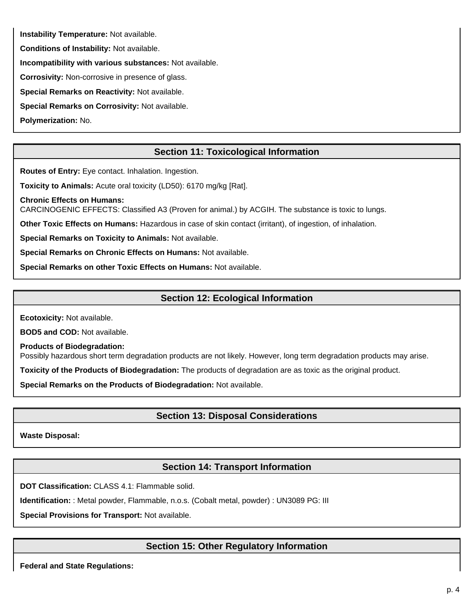**Instability Temperature:** Not available.

**Conditions of Instability:** Not available.

**Incompatibility with various substances:** Not available.

**Corrosivity:** Non-corrosive in presence of glass.

**Special Remarks on Reactivity:** Not available.

**Special Remarks on Corrosivity:** Not available.

**Polymerization:** No.

# **Section 11: Toxicological Information**

**Routes of Entry:** Eye contact. Inhalation. Ingestion.

**Toxicity to Animals:** Acute oral toxicity (LD50): 6170 mg/kg [Rat].

**Chronic Effects on Humans:** CARCINOGENIC EFFECTS: Classified A3 (Proven for animal.) by ACGIH. The substance is toxic to lungs.

**Other Toxic Effects on Humans:** Hazardous in case of skin contact (irritant), of ingestion, of inhalation.

**Special Remarks on Toxicity to Animals:** Not available.

**Special Remarks on Chronic Effects on Humans:** Not available.

**Special Remarks on other Toxic Effects on Humans:** Not available.

# **Section 12: Ecological Information**

**Ecotoxicity:** Not available.

**BOD5 and COD:** Not available.

**Products of Biodegradation:**

Possibly hazardous short term degradation products are not likely. However, long term degradation products may arise.

**Toxicity of the Products of Biodegradation:** The products of degradation are as toxic as the original product.

**Special Remarks on the Products of Biodegradation:** Not available.

# **Section 13: Disposal Considerations**

**Waste Disposal:**

# **Section 14: Transport Information**

**DOT Classification:** CLASS 4.1: Flammable solid.

**Identification:** : Metal powder, Flammable, n.o.s. (Cobalt metal, powder) : UN3089 PG: III

**Special Provisions for Transport:** Not available.

# **Section 15: Other Regulatory Information**

**Federal and State Regulations:**